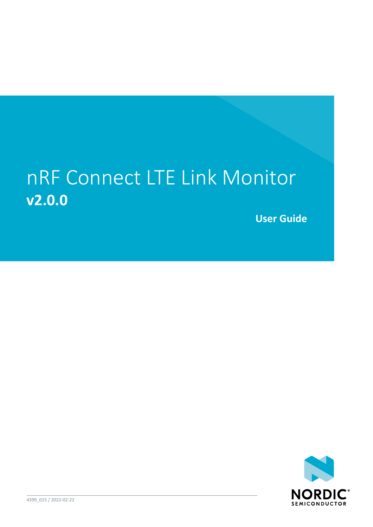### nRF Connect LTE Link Monitor **v2.0.0**

**User Guide**

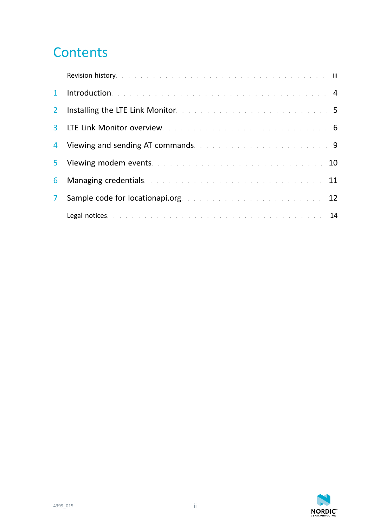### **Contents**

|                | Revision history. The contract of the contract of the contract of the contract of the fill |  |
|----------------|--------------------------------------------------------------------------------------------|--|
| $\mathbf{1}$   | Introduction. The contract of the contract of the contract of the contract of the 4        |  |
| 2 <sup>1</sup> | Installing the LTE Link Monitor. The contract of the contract of the state of 5            |  |
| 3 <sup>1</sup> | LTE Link Monitor overview. The contract of the contract of the contract of 6               |  |
| 4              | Viewing and sending AT commands. The contract of the contract of the September 19          |  |
| 5              | Viewing modem events. The contract of the contract of the contract of 10                   |  |
| 6              | Managing credentials. The contract of the contract of the contract of the 11               |  |
| $\mathbf{7}$   | Sample code for locationapi.org. The contract of the contract of the 12                    |  |
|                | Legal notices. The contract of the contract of the contract of the contract of the 14      |  |

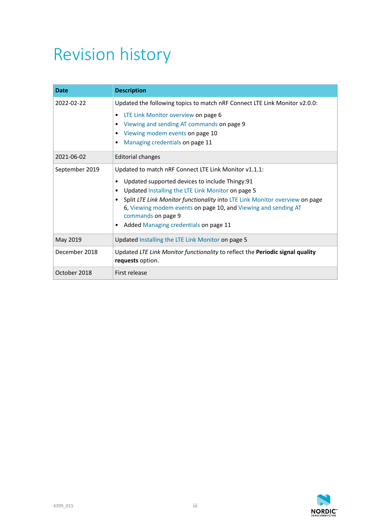### <span id="page-2-0"></span>Revision history

| <b>Date</b>    | <b>Description</b>                                                                                |  |  |  |  |  |
|----------------|---------------------------------------------------------------------------------------------------|--|--|--|--|--|
| 2022-02-22     | Updated the following topics to match nRF Connect LTE Link Monitor v2.0.0:                        |  |  |  |  |  |
|                | LTE Link Monitor overview on page 6                                                               |  |  |  |  |  |
|                | Viewing and sending AT commands on page 9                                                         |  |  |  |  |  |
|                | Viewing modem events on page 10<br>Managing credentials on page 11                                |  |  |  |  |  |
|                |                                                                                                   |  |  |  |  |  |
| 2021-06-02     | Editorial changes                                                                                 |  |  |  |  |  |
| September 2019 | Updated to match nRF Connect LTE Link Monitor v1.1.1:                                             |  |  |  |  |  |
|                | Updated supported devices to include Thingy:91                                                    |  |  |  |  |  |
|                | Updated Installing the LTE Link Monitor on page 5                                                 |  |  |  |  |  |
|                | Split LTE Link Monitor functionality into LTE Link Monitor overview on page                       |  |  |  |  |  |
|                | 6, Viewing modem events on page 10, and Viewing and sending AT                                    |  |  |  |  |  |
|                | commands on page 9                                                                                |  |  |  |  |  |
|                | Added Managing credentials on page 11                                                             |  |  |  |  |  |
| May 2019       | Updated Installing the LTE Link Monitor on page 5                                                 |  |  |  |  |  |
| December 2018  | Updated LTE Link Monitor functionality to reflect the Periodic signal quality<br>requests option. |  |  |  |  |  |
| October 2018   | First release                                                                                     |  |  |  |  |  |

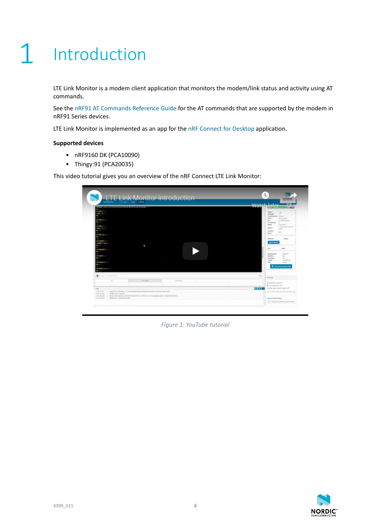# <span id="page-3-0"></span>**Introduction**

LTE Link Monitor is a modem client application that monitors the modem/link status and activity using AT commands.

See the [nRF91 AT Commands Reference Guide](https://infocenter.nordicsemi.com/topic/ref_at_commands/REF/at_commands/intro.html) for the AT commands that are supported by the modem in nRF91 Series devices.

LTE Link Monitor is implemented as an app for the [nRF Connect for Desktop](https://www.nordicsemi.com/Software-and-Tools/Development-Tools/nRF-Connect-for-desktop) application.

#### **Supported devices**

- nRF9160 DK (PCA10090)
- Thingy:91 (PCA20035)

This video tutorial gives you an overview of the nRF Connect LTE Link Monitor:

| <b>EXISTING INVESTIGATION IN CASH ASSOCIATED AND LODGED</b><br><b>RECO</b><br><b>Melmatrix</b><br><b>HOWE: BUS IP</b><br><b>MI</b> CO LO<br><b>Matmilator</b> in<br><br><b>Material</b><br><b>CHEC: BIT IT</b><br><b>DECK OF</b><br><b>MACROSSIE IN 1879</b><br><b>MICHAEL</b><br><b>MACMORATIC LIST</b><br>HOGEROPE IN BILT IF                       |         |          |  | Watch later<br><b>WEEKS</b>        | <b>Signal</b><br><b>Greenpile</b><br>Panelland Art Horeck<br>use.<br>Pin<br>Por Estras:<br><b>Mayler</b><br><b>Bandle</b><br>Gumme | <b>Cha</b><br>فللإقراص كالمار<br>a1<br>UECC má CIG<br>Art PROmesteed<br>$\sim$<br>PS mode 2<br>1.8.8.10.44.17.30.24<br>35.66     |
|-------------------------------------------------------------------------------------------------------------------------------------------------------------------------------------------------------------------------------------------------------------------------------------------------------------------------------------------------------|---------|----------|--|------------------------------------|------------------------------------------------------------------------------------------------------------------------------------|----------------------------------------------------------------------------------------------------------------------------------|
| <b>Michael</b><br>al al Militari 2 come<br><b>MAY 15</b><br>alaisa (1) - 11<br><b>MOLT</b><br>abelanus +4 m =<br><b>MICHAEL</b><br><b>MACHINES</b> LEADER<br><b>MIXED</b><br><b>Q</b> Toyott communities:                                                                                                                                             |         |          |  | Town                               | <b>BANK</b><br><b>FEARMOUR</b><br><b>Source motoronic</b><br>OB<br>Registration:<br><b>MacAdoo</b><br>Gamalan<br>CARDI.<br>Fac.    | 19.74<br><b>STANI</b><br>Arter<br>and Milled Station<br>mo.<br>nan.<br>CARSTON<br><b>STATE</b><br><b>R</b> description materials |
| <b>ALC</b>                                                                                                                                                                                                                                                                                                                                            | AF-GENO | AD-DRAWN |  |                                    | Sottings.<br>SE Automatic empoints:                                                                                                |                                                                                                                                  |
| Log.<br>top 43' 60-523.<br>Appleation data folder. C. Cherry (et Appl) also Elsente greefs around go, nel connect instrumeday<br>94.92 25.005<br>Modern port is opened.<br>Marchi Santaconductor ASM, american polis ridel, selle bill, in A il sin preacchied Justice Inspectorship and<br>10.53 Bl / H<br>14.65.48.000<br>Although, 21820670014090. |         |          |  | <b>DDD</b> Prodo sparandy reporter | at Terminial auto scenii<br>сосатали и от томет                                                                                    | of the company's the<br>pack that has been discussed as the state of the state of the state of                                   |

*Figure 1: YouTube tutorial*

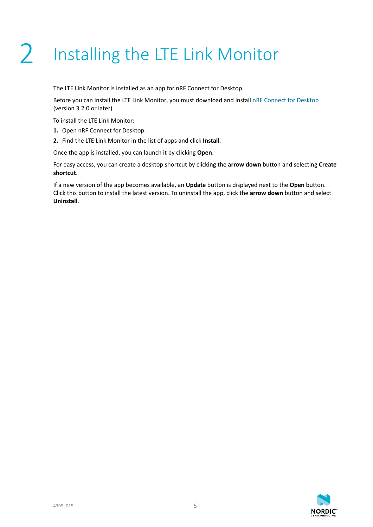# <span id="page-4-1"></span><span id="page-4-0"></span>2 Installing the LTE Link Monitor

The LTE Link Monitor is installed as an app for nRF Connect for Desktop.

Before you can install the LTE Link Monitor, you must download and install [nRF Connect for Desktop](https://www.nordicsemi.com/Software-and-Tools/Development-Tools/nRF-Connect-for-desktop) (version 3.2.0 or later).

To install the LTE Link Monitor:

- **1.** Open nRF Connect for Desktop.
- **2.** Find the LTE Link Monitor in the list of apps and click **Install**.

Once the app is installed, you can launch it by clicking **Open**.

For easy access, you can create a desktop shortcut by clicking the **arrow down** button and selecting **Create shortcut**.

If a new version of the app becomes available, an **Update** button is displayed next to the **Open** button. Click this button to install the latest version. To uninstall the app, click the **arrow down** button and select **Uninstall**.

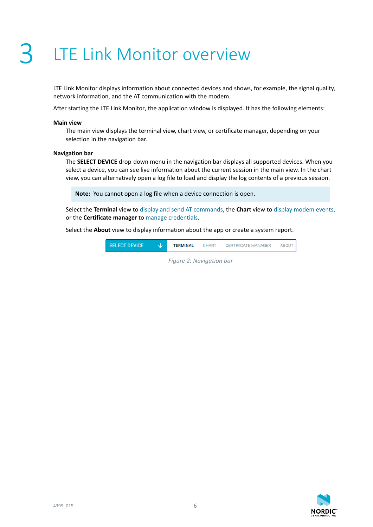### <span id="page-5-1"></span><span id="page-5-0"></span>LTE Link Monitor overview

LTE Link Monitor displays information about connected devices and shows, for example, the signal quality, network information, and the AT communication with the modem.

After starting the LTE Link Monitor, the application window is displayed. It has the following elements:

#### **Main view**

The main view displays the terminal view, chart view, or certificate manager, depending on your selection in the navigation bar.

#### **Navigation bar**

The **SELECT DEVICE** drop-down menu in the navigation bar displays all supported devices. When you select a device, you can see live information about the current session in the main view. In the chart view, you can alternatively open a log file to load and display the log contents of a previous session.

**Note:** You cannot open a log file when a device connection is open.

Select the **Terminal** view to [display and send AT commands,](#page-8-1) the **Chart** view to [display modem events](#page-9-1), or the **Certificate manager** to [manage credentials.](#page-10-1)

Select the **About** view to display information about the app or create a system report.



*Figure 2: Navigation bar*

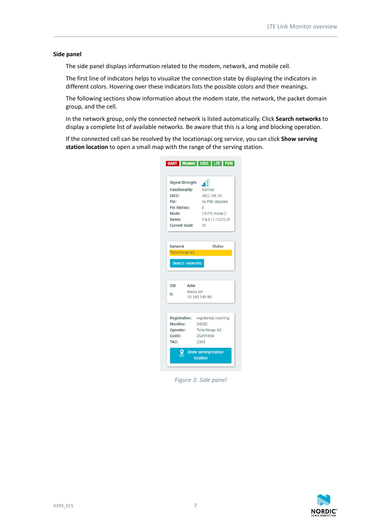#### **Side panel**

The side panel displays information related to the modem, network, and mobile cell.

The first line of indicators helps to visualize the connection state by displaying the indicators in different colors. Hovering over these indicators lists the possible colors and their meanings.

The following sections show information about the modem state, the network, the packet domain group, and the cell.

In the network group, only the connected network is listed automatically. Click **Search networks** to display a complete list of available networks. Be aware that this is a long and blocking operation.

If the connected cell can be resolved by the locationapi.org service, you can click **Show serving station location** to open a small map with the range of the serving station.

| <b>Signal Strength:</b> |            | -F                                |  |  |  |  |
|-------------------------|------------|-----------------------------------|--|--|--|--|
| <b>Functionality:</b>   |            | Normal                            |  |  |  |  |
| UICC:                   |            | <b>UICC</b> init OK               |  |  |  |  |
| Pin:                    |            | no PIN required                   |  |  |  |  |
| <b>Pin Retries:</b>     |            | 3                                 |  |  |  |  |
| Mode:                   |            | CS/PS mode 2                      |  |  |  |  |
| Bands:                  |            | 2-4,8,12-13,20,28                 |  |  |  |  |
| <b>Current Band:</b>    |            | 20                                |  |  |  |  |
|                         |            |                                   |  |  |  |  |
| <b>Network</b>          |            | <b>Status</b>                     |  |  |  |  |
| <b>Telia Norge AS</b>   |            |                                   |  |  |  |  |
| <b>Search networks</b>  |            |                                   |  |  |  |  |
|                         |            |                                   |  |  |  |  |
|                         |            |                                   |  |  |  |  |
| <b>CID</b>              | Addr       |                                   |  |  |  |  |
| 0:                      | ibasis.jot | 10.160.149.90                     |  |  |  |  |
|                         |            |                                   |  |  |  |  |
|                         |            | Registration: registered, roaming |  |  |  |  |
| MccMnc:                 |            | 24202                             |  |  |  |  |
|                         |            | Operator: Telia Norge AS          |  |  |  |  |
| CellID:                 |            | 35491094                          |  |  |  |  |
| TAC:                    |            | 2305                              |  |  |  |  |

*Figure 3: Side panel*

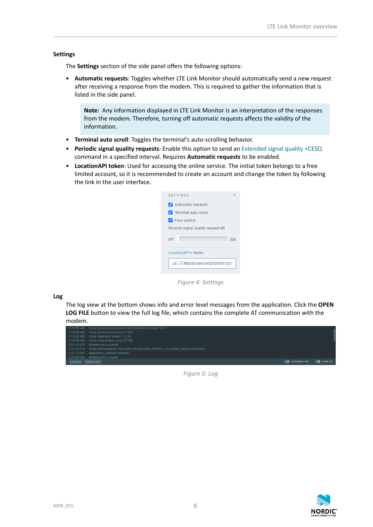#### **Settings**

The **Settings** section of the side panel offers the following options:

• **Automatic requests**: Toggles whether LTE Link Monitor should automatically send a new request after receiving a response from the modem. This is required to gather the information that is listed in the side panel.

**Note:** Any information displayed in LTE Link Monitor is an interpretation of the responses from the modem. Therefore, turning off automatic requests affects the validity of the information.

- **Terminal auto scroll**: Toggles the terminal's auto-scrolling behavior.
- **Periodic signal quality requests**: Enable this option to send an [Extended signal quality +CESQ](https://infocenter.nordicsemi.com/topic/ref_at_commands/REF/at_commands/mob_termination_ctrl_status/cesq.html) command in a specified interval. Requires **Automatic requests** to be enabled.
- **LocationAPI token**: Used for accessing the online service. The initial token belongs to a free limited account, so it is recommended to create an account and change the token by following the link in the user interface.



*Figure 4: Settings*

**Log**

The log view at the bottom shows info and error level messages from the application. Click the **OPEN LOG FILE** button to view the full log file, which contains the complete AT communication with the modem.



*Figure 5: Log*

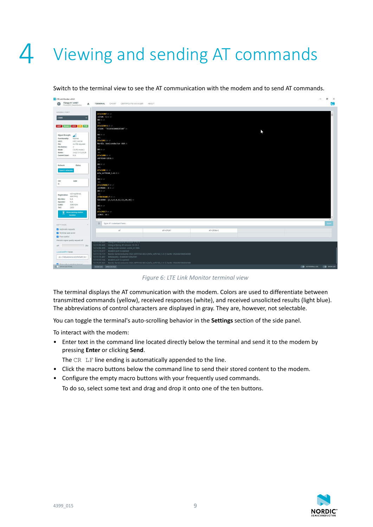# <span id="page-8-1"></span><span id="page-8-0"></span>4 Viewing and sending AT commands

Switch to the terminal view to see the AT communication with the modem and to send AT commands.

| Thingy:91 UART<br>m.<br><b>TERMINAL</b> CHART CERTIFICATE MANAGER<br>ABOUT<br>$\triangle$<br>PCA20035_f04b645c40cc<br>MODEM PORT<br>AT+CFUN? CR. LF<br>+CFUN: 1 CR LF<br>COM5<br>$\check{~}$<br>OK CR LF<br><b>NUL</b><br>AT+CGSN=1 CR LF<br>UART Modern UICC LTE PDN<br>+CGSN: "352656100826588" CR<br>OK CR LF<br>Signal Strength:<br>ыl<br>NUL.<br>Functionality:<br>Normal<br>AT+CGMI CR LF<br>UICC:<br><b>UICC</b> init OK<br>Nordic Semiconductor ASA CR<br>Pin:<br>no PIN required<br>LF.<br><b>Pin Retries:</b><br>3<br>OK CR LF<br>CS/PS mode 2<br>Mode:<br>Bands:<br>2-4,8,12-13,20,28<br>NUL.<br>AT+CGMM CR LF<br>Current Band: N/A<br>nRF9160-SICA OR<br>1F<br>OK CR LF<br>Network<br><b>Status</b><br>NUL.<br>AT+CGMR CR LF<br>Search networks<br>nfw_nrf9160_1.0.1 CR<br>LE.<br>OK CR LF<br>CID<br>Addr<br>NUL.<br>$0$ :<br>AT+CEMODE? CR LF<br>+CEMODE: 2 CR LF<br>OK CR LF<br>not registered,<br>NUL.<br>Registration:<br>searching<br>ATXXCBAND=? OR LF<br>N/A<br>MccMnc:<br>XXCBAND: (2,3,4,8,12,13,20,28) CR<br>N/A<br>Operator:<br>LE.<br>CellID:<br>35491094<br>OK CR LF<br>TAC:<br>2305<br>NUL.<br>AT+CMEE? CR. LF<br>$\circ$<br>Show serving station<br>+CMEE: 0 CR<br>location<br>$\circ$<br>Type AT command here<br><b>SETTINGS</b><br>$\sim$<br>Automatic requests<br>AT.<br>AT+CFUN?<br>AT+CFUN=1<br>Terminal auto scroll<br>Flow control<br>Periodic signal quality request off<br>12:10:59.445 Using nrt-device-lib version: 0.10.3<br>12:10:59.445 Using nrfjprog dll version: 10.15.1<br>30s<br>off<br>12:10:59.445 Using JLink version: JLink_V7.58b<br>12:11:15.077 Modem port is opened | <b>V</b> LTE Link Monitor v2.0.0                                 |                         |  | $\sigma$ $\times$<br>the control |
|---------------------------------------------------------------------------------------------------------------------------------------------------------------------------------------------------------------------------------------------------------------------------------------------------------------------------------------------------------------------------------------------------------------------------------------------------------------------------------------------------------------------------------------------------------------------------------------------------------------------------------------------------------------------------------------------------------------------------------------------------------------------------------------------------------------------------------------------------------------------------------------------------------------------------------------------------------------------------------------------------------------------------------------------------------------------------------------------------------------------------------------------------------------------------------------------------------------------------------------------------------------------------------------------------------------------------------------------------------------------------------------------------------------------------------------------------------------------------------------------------------------------------------------------------------------------------------------------------------------------------|------------------------------------------------------------------|-------------------------|--|----------------------------------|
|                                                                                                                                                                                                                                                                                                                                                                                                                                                                                                                                                                                                                                                                                                                                                                                                                                                                                                                                                                                                                                                                                                                                                                                                                                                                                                                                                                                                                                                                                                                                                                                                                           |                                                                  |                         |  |                                  |
|                                                                                                                                                                                                                                                                                                                                                                                                                                                                                                                                                                                                                                                                                                                                                                                                                                                                                                                                                                                                                                                                                                                                                                                                                                                                                                                                                                                                                                                                                                                                                                                                                           |                                                                  |                         |  |                                  |
|                                                                                                                                                                                                                                                                                                                                                                                                                                                                                                                                                                                                                                                                                                                                                                                                                                                                                                                                                                                                                                                                                                                                                                                                                                                                                                                                                                                                                                                                                                                                                                                                                           |                                                                  |                         |  |                                  |
|                                                                                                                                                                                                                                                                                                                                                                                                                                                                                                                                                                                                                                                                                                                                                                                                                                                                                                                                                                                                                                                                                                                                                                                                                                                                                                                                                                                                                                                                                                                                                                                                                           |                                                                  |                         |  |                                  |
|                                                                                                                                                                                                                                                                                                                                                                                                                                                                                                                                                                                                                                                                                                                                                                                                                                                                                                                                                                                                                                                                                                                                                                                                                                                                                                                                                                                                                                                                                                                                                                                                                           |                                                                  |                         |  |                                  |
|                                                                                                                                                                                                                                                                                                                                                                                                                                                                                                                                                                                                                                                                                                                                                                                                                                                                                                                                                                                                                                                                                                                                                                                                                                                                                                                                                                                                                                                                                                                                                                                                                           |                                                                  |                         |  |                                  |
|                                                                                                                                                                                                                                                                                                                                                                                                                                                                                                                                                                                                                                                                                                                                                                                                                                                                                                                                                                                                                                                                                                                                                                                                                                                                                                                                                                                                                                                                                                                                                                                                                           |                                                                  |                         |  |                                  |
|                                                                                                                                                                                                                                                                                                                                                                                                                                                                                                                                                                                                                                                                                                                                                                                                                                                                                                                                                                                                                                                                                                                                                                                                                                                                                                                                                                                                                                                                                                                                                                                                                           |                                                                  |                         |  |                                  |
|                                                                                                                                                                                                                                                                                                                                                                                                                                                                                                                                                                                                                                                                                                                                                                                                                                                                                                                                                                                                                                                                                                                                                                                                                                                                                                                                                                                                                                                                                                                                                                                                                           |                                                                  |                         |  |                                  |
|                                                                                                                                                                                                                                                                                                                                                                                                                                                                                                                                                                                                                                                                                                                                                                                                                                                                                                                                                                                                                                                                                                                                                                                                                                                                                                                                                                                                                                                                                                                                                                                                                           |                                                                  |                         |  |                                  |
|                                                                                                                                                                                                                                                                                                                                                                                                                                                                                                                                                                                                                                                                                                                                                                                                                                                                                                                                                                                                                                                                                                                                                                                                                                                                                                                                                                                                                                                                                                                                                                                                                           |                                                                  |                         |  |                                  |
|                                                                                                                                                                                                                                                                                                                                                                                                                                                                                                                                                                                                                                                                                                                                                                                                                                                                                                                                                                                                                                                                                                                                                                                                                                                                                                                                                                                                                                                                                                                                                                                                                           |                                                                  |                         |  |                                  |
|                                                                                                                                                                                                                                                                                                                                                                                                                                                                                                                                                                                                                                                                                                                                                                                                                                                                                                                                                                                                                                                                                                                                                                                                                                                                                                                                                                                                                                                                                                                                                                                                                           |                                                                  |                         |  |                                  |
|                                                                                                                                                                                                                                                                                                                                                                                                                                                                                                                                                                                                                                                                                                                                                                                                                                                                                                                                                                                                                                                                                                                                                                                                                                                                                                                                                                                                                                                                                                                                                                                                                           |                                                                  |                         |  |                                  |
|                                                                                                                                                                                                                                                                                                                                                                                                                                                                                                                                                                                                                                                                                                                                                                                                                                                                                                                                                                                                                                                                                                                                                                                                                                                                                                                                                                                                                                                                                                                                                                                                                           |                                                                  |                         |  |                                  |
|                                                                                                                                                                                                                                                                                                                                                                                                                                                                                                                                                                                                                                                                                                                                                                                                                                                                                                                                                                                                                                                                                                                                                                                                                                                                                                                                                                                                                                                                                                                                                                                                                           |                                                                  |                         |  |                                  |
|                                                                                                                                                                                                                                                                                                                                                                                                                                                                                                                                                                                                                                                                                                                                                                                                                                                                                                                                                                                                                                                                                                                                                                                                                                                                                                                                                                                                                                                                                                                                                                                                                           |                                                                  |                         |  |                                  |
|                                                                                                                                                                                                                                                                                                                                                                                                                                                                                                                                                                                                                                                                                                                                                                                                                                                                                                                                                                                                                                                                                                                                                                                                                                                                                                                                                                                                                                                                                                                                                                                                                           |                                                                  |                         |  |                                  |
|                                                                                                                                                                                                                                                                                                                                                                                                                                                                                                                                                                                                                                                                                                                                                                                                                                                                                                                                                                                                                                                                                                                                                                                                                                                                                                                                                                                                                                                                                                                                                                                                                           |                                                                  |                         |  |                                  |
|                                                                                                                                                                                                                                                                                                                                                                                                                                                                                                                                                                                                                                                                                                                                                                                                                                                                                                                                                                                                                                                                                                                                                                                                                                                                                                                                                                                                                                                                                                                                                                                                                           |                                                                  |                         |  |                                  |
|                                                                                                                                                                                                                                                                                                                                                                                                                                                                                                                                                                                                                                                                                                                                                                                                                                                                                                                                                                                                                                                                                                                                                                                                                                                                                                                                                                                                                                                                                                                                                                                                                           |                                                                  |                         |  |                                  |
|                                                                                                                                                                                                                                                                                                                                                                                                                                                                                                                                                                                                                                                                                                                                                                                                                                                                                                                                                                                                                                                                                                                                                                                                                                                                                                                                                                                                                                                                                                                                                                                                                           |                                                                  |                         |  |                                  |
|                                                                                                                                                                                                                                                                                                                                                                                                                                                                                                                                                                                                                                                                                                                                                                                                                                                                                                                                                                                                                                                                                                                                                                                                                                                                                                                                                                                                                                                                                                                                                                                                                           |                                                                  |                         |  |                                  |
|                                                                                                                                                                                                                                                                                                                                                                                                                                                                                                                                                                                                                                                                                                                                                                                                                                                                                                                                                                                                                                                                                                                                                                                                                                                                                                                                                                                                                                                                                                                                                                                                                           |                                                                  |                         |  |                                  |
|                                                                                                                                                                                                                                                                                                                                                                                                                                                                                                                                                                                                                                                                                                                                                                                                                                                                                                                                                                                                                                                                                                                                                                                                                                                                                                                                                                                                                                                                                                                                                                                                                           |                                                                  |                         |  |                                  |
|                                                                                                                                                                                                                                                                                                                                                                                                                                                                                                                                                                                                                                                                                                                                                                                                                                                                                                                                                                                                                                                                                                                                                                                                                                                                                                                                                                                                                                                                                                                                                                                                                           |                                                                  |                         |  |                                  |
|                                                                                                                                                                                                                                                                                                                                                                                                                                                                                                                                                                                                                                                                                                                                                                                                                                                                                                                                                                                                                                                                                                                                                                                                                                                                                                                                                                                                                                                                                                                                                                                                                           |                                                                  |                         |  |                                  |
|                                                                                                                                                                                                                                                                                                                                                                                                                                                                                                                                                                                                                                                                                                                                                                                                                                                                                                                                                                                                                                                                                                                                                                                                                                                                                                                                                                                                                                                                                                                                                                                                                           |                                                                  |                         |  |                                  |
|                                                                                                                                                                                                                                                                                                                                                                                                                                                                                                                                                                                                                                                                                                                                                                                                                                                                                                                                                                                                                                                                                                                                                                                                                                                                                                                                                                                                                                                                                                                                                                                                                           |                                                                  |                         |  |                                  |
|                                                                                                                                                                                                                                                                                                                                                                                                                                                                                                                                                                                                                                                                                                                                                                                                                                                                                                                                                                                                                                                                                                                                                                                                                                                                                                                                                                                                                                                                                                                                                                                                                           |                                                                  |                         |  |                                  |
|                                                                                                                                                                                                                                                                                                                                                                                                                                                                                                                                                                                                                                                                                                                                                                                                                                                                                                                                                                                                                                                                                                                                                                                                                                                                                                                                                                                                                                                                                                                                                                                                                           |                                                                  |                         |  |                                  |
|                                                                                                                                                                                                                                                                                                                                                                                                                                                                                                                                                                                                                                                                                                                                                                                                                                                                                                                                                                                                                                                                                                                                                                                                                                                                                                                                                                                                                                                                                                                                                                                                                           |                                                                  |                         |  |                                  |
|                                                                                                                                                                                                                                                                                                                                                                                                                                                                                                                                                                                                                                                                                                                                                                                                                                                                                                                                                                                                                                                                                                                                                                                                                                                                                                                                                                                                                                                                                                                                                                                                                           | LocationAPI <sup>oo</sup> token                                  |                         |  |                                  |
| 12:11:15.174 Nordic Semiconductor ASA nRF9160-SICA [mfw_nrf9160_1.0.1] SerNr: 352656100826588<br>pk.c748a4d4e6ce0bfd5491dc1<br>12:11:15.457 IMSIdentity: 204080813554987                                                                                                                                                                                                                                                                                                                                                                                                                                                                                                                                                                                                                                                                                                                                                                                                                                                                                                                                                                                                                                                                                                                                                                                                                                                                                                                                                                                                                                                  |                                                                  |                         |  |                                  |
| 12:19:25.166 Modem port is opened                                                                                                                                                                                                                                                                                                                                                                                                                                                                                                                                                                                                                                                                                                                                                                                                                                                                                                                                                                                                                                                                                                                                                                                                                                                                                                                                                                                                                                                                                                                                                                                         |                                                                  |                         |  |                                  |
|                                                                                                                                                                                                                                                                                                                                                                                                                                                                                                                                                                                                                                                                                                                                                                                                                                                                                                                                                                                                                                                                                                                                                                                                                                                                                                                                                                                                                                                                                                                                                                                                                           | <b>2</b> Chow only currented devices<br><b>O</b> SHOW SIDE PANEL | CLEAR LOG OPEN LOG FILE |  | O AUTOSCROLL LOG @ SHOW LOG      |
| 12:19:25.523 Nordic Semiconductor ASA nRF9160-SICA [mfw_nrf9160_1.0.1] SerNr: 352656100826588                                                                                                                                                                                                                                                                                                                                                                                                                                                                                                                                                                                                                                                                                                                                                                                                                                                                                                                                                                                                                                                                                                                                                                                                                                                                                                                                                                                                                                                                                                                             |                                                                  |                         |  |                                  |

*Figure 6: LTE Link Monitor terminal view*

The terminal displays the AT communication with the modem. Colors are used to differentiate between transmitted commands (yellow), received responses (white), and received unsolicited results (light blue). The abbreviations of control characters are displayed in gray. They are, however, not selectable.

You can toggle the terminal's auto-scrolling behavior in the **Settings** section of the side panel.

To interact with the modem:

• Enter text in the command line located directly below the terminal and send it to the modem by pressing **Enter** or clicking **Send**.

The CR LF line ending is automatically appended to the line.

- Click the macro buttons below the command line to send their stored content to the modem.
- Configure the empty macro buttons with your frequently used commands.

To do so, select some text and drag and drop it onto one of the ten buttons.

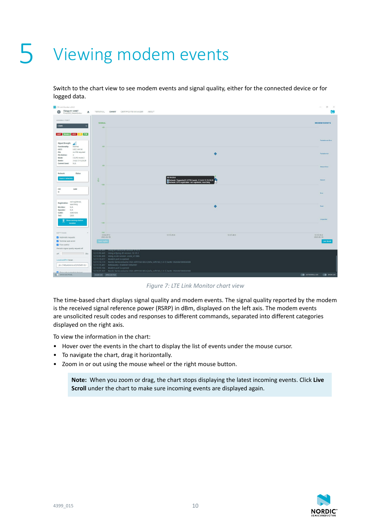### <span id="page-9-1"></span><span id="page-9-0"></span>Viewing modem events

Switch to the chart view to see modem events and signal quality, either for the connected device or for logged data.



*Figure 7: LTE Link Monitor chart view*

The time-based chart displays signal quality and modem events. The signal quality reported by the modem is the received signal reference power (RSRP) in dBm, displayed on the left axis. The modem events are unsolicited result codes and responses to different commands, separated into different categories displayed on the right axis.

To view the information in the chart:

- Hover over the events in the chart to display the list of events under the mouse cursor.
- To navigate the chart, drag it horizontally.
- Zoom in or out using the mouse wheel or the right mouse button.

**Note:** When you zoom or drag, the chart stops displaying the latest incoming events. Click **Live Scroll** under the chart to make sure incoming events are displayed again.

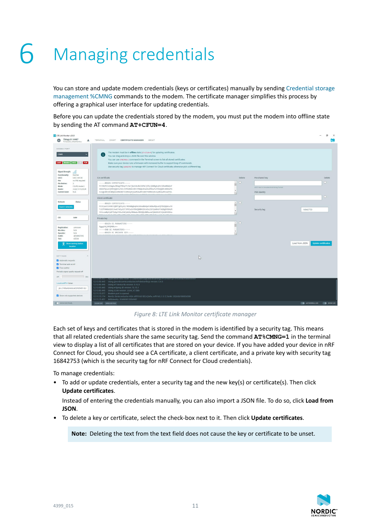# <span id="page-10-1"></span><span id="page-10-0"></span>Managing credentials

You can store and update modem credentials (keys or certificates) manually by sending [Credential storage](https://infocenter.nordicsemi.com/topic/ref_at_commands/REF/at_commands/security/cmng.html) [management %CMNG](https://infocenter.nordicsemi.com/topic/ref_at_commands/REF/at_commands/security/cmng.html) commands to the modem. The certificate manager simplifies this process by offering a graphical user interface for updating credentials.

Before you can update the credentials stored by the modem, you must put the modem into offline state by sending the AT command **AT+CFUN=4**.

| LTE Link Monitor v2.0.0<br>Thingy:91 UART<br>IN.<br>$\triangle$<br>PCA20035_f04b645c40cc                                                                                                                                              | TERMINAL<br>CHART<br><b>CERTIFICATE MANAGER</b><br>ABOUT                                                                                                                                                                                                                                                                                                                                                                                                                                                                          |              |             |                                                                           |                                              | $\times$         |
|---------------------------------------------------------------------------------------------------------------------------------------------------------------------------------------------------------------------------------------|-----------------------------------------------------------------------------------------------------------------------------------------------------------------------------------------------------------------------------------------------------------------------------------------------------------------------------------------------------------------------------------------------------------------------------------------------------------------------------------------------------------------------------------|--------------|-------------|---------------------------------------------------------------------------|----------------------------------------------|------------------|
| MODEM PORT<br>COM <sub>5</sub><br><b>UART</b> Modern UICC LTE<br>PDN                                                                                                                                                                  | The modem must be in offline state (AT+CFUN+4) for updating certificates.<br>Œ<br>You can drag-and-drop a JSON file over this window.<br>You can use ATKCHNG-1 command in the Terminal screen to list all stored certificates.<br>Make sure your device runs a firmware with increased buffer to support long AT-commands.<br>Use security tag 16842753 to manage nRF Connect for Cloud certificate, otherwise pick a different tag.                                                                                              |              |             |                                                                           |                                              |                  |
| Signal Strength:<br>afl<br>Functionality:<br>Normal<br>UICC:<br><b>UICC</b> init OK<br>Pin:<br>no PIN required<br><b>Pin Retries:</b><br>$\mathbf{3}$<br>Mode:<br>CS/PS mode 2<br>2-4.8.12-13.20.28<br>Bands:<br>N/A<br>Current Band: | CA certificate<br>-----BEGIN CERTIFICATE-----<br>MIIDQTCCAimgAwIBAgITBmyfz5m/jAo54vB4ikPmljZbyjANBgkqhkiG9w0BAQsF<br>ADASMQswCQYDVQQGEwJVUzEPMA0GA1UEChMGQW1hem9uMRkwFwYDVQQDExBBbWF6<br>b24gUm9vdCBDQSAxMB4XDTE1MDUyNjAuMDAwMFoXDTM4MDExNzAwMDAwMFowOTEL<br>Client certificate                                                                                                                                                                                                                                                   |              | Delete<br>п | Pre-shared key<br>ASCII text in hexadecimal string format<br>PSK identity |                                              | Delete<br>п<br>o |
| Network<br><b>Status</b><br>Search networks                                                                                                                                                                                           | -----BEGIN CERTIFICATE-----<br>MIICpzCCAY8CCQDMTgDSykl/4DANBgkqhkiG9w0BAQsFADBwMQswCQYDVQQGEwJO<br>TzEPMA0GA1UECAwGTm9yd2F5MRIwEAYDVQQHDAlUcm9uZGhlaW0xHTAbBgNVBAoM<br>FE5vcmRpYyBTZW1pY29uZHVjdG9yMR0wGwYDVQQLDBRucmZjbG91ZC5jb20tR2Vu                                                                                                                                                                                                                                                                                           | A            | $\Box$      | Security tag                                                              | 16842753                                     |                  |
| CID<br>Addr<br>Registration:<br>unknown<br>MccMnc:<br>N/A<br>N/A<br>Operator:<br>4294967295<br>CellID:<br>65534<br>TAC:<br>Show serving station<br>location                                                                           | Private key<br>-----BEGIN EC PARAMETERS-----<br>BggqhkjOPQMBBw==<br>----- END EC PARAMETERS-----<br>-----BEGIN EC PRIVATE KEY-----                                                                                                                                                                                                                                                                                                                                                                                                |              | $\Box$      |                                                                           | <b>Update certificates</b><br>Load from JSON |                  |
| SETTINGS<br>Automatic requests<br>Terminal auto scroll<br>Flow control<br>Periodic signal quality request off<br>30s<br>off                                                                                                           |                                                                                                                                                                                                                                                                                                                                                                                                                                                                                                                                   | $\mathbb{Z}$ |             |                                                                           |                                              |                  |
| LocationAPI <sup>oo</sup> token<br>pk.c748a4d4e6ce0bfd5491dcl<br>Show only supported devices                                                                                                                                          | 12:10:59.357 Application data folder: CAUsers\raat\AppData\Roaming\nrfconnect\pc-nrfconnect-linkmonitor<br>12:10:59.445 Using @nordicsemiconductor/nrf-device-lib-js version: 0.4.3<br>12:10:59.445 Using nrf-device-lib version: 0.10.3<br>12:10:59.445 Using nrfjprog dll version: 10.15.1<br>12:10:59.445 Using JLink version: JLink_V7.58b<br>12:11:15.077 Modem port is opened<br>12:11:15.174 Nordic Semiconductor ASA nRF9160-SICA (mfw_nrf9160_1.0.1) SerNr: 352656100826588<br>12:11:15.457 IMSIdentity: 204080813554987 |              |             |                                                                           |                                              |                  |
| SHOW SIDE PANEL                                                                                                                                                                                                                       | CLEAR LOG OPEN LOG FILE                                                                                                                                                                                                                                                                                                                                                                                                                                                                                                           |              |             |                                                                           | AUTOSCROLLLOG C SHOWLOG                      |                  |

*Figure 8: LTE Link Monitor certificate manager*

Each set of keys and certificates that is stored in the modem is identified by a security tag. This means that all related credentials share the same security tag. Send the command **AT%CMNG=1** in the terminal view to display a list of all certificates that are stored on your device. If you have added your device in nRF Connect for Cloud, you should see a CA certificate, a client certificate, and a private key with security tag 16842753 (which is the security tag for nRF Connect for Cloud credentials).

To manage credentials:

• To add or update credentials, enter a security tag and the new key(s) or certificate(s). Then click **Update certificates**.

Instead of entering the credentials manually, you can also import a JSON file. To do so, click **Load from JSON**.

• To delete a key or certificate, select the check-box next to it. Then click **Update certificates**.

**Note:** Deleting the text from the text field does not cause the key or certificate to be unset.

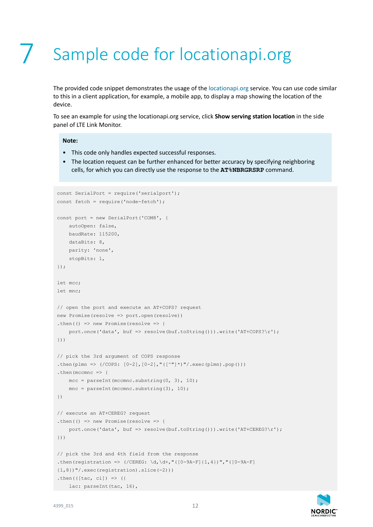## <span id="page-11-0"></span>Sample code for locationapi.org

The provided code snippet demonstrates the usage of the [locationapi.org](https://locationapi.org) service. You can use code similar to this in a client application, for example, a mobile app, to display a map showing the location of the device.

To see an example for using the locationapi.org service, click **Show serving station location** in the side panel of LTE Link Monitor.

#### **Note:**

- This code only handles expected successful responses.
- The location request can be further enhanced for better accuracy by specifying neighboring cells, for which you can directly use the response to the **AT%NBRGRSRP** command.

```
const SerialPort = require('serialport');
const fetch = require('node-fetch');
const port = new SerialPort('COM8', {
    autoOpen: false,
    baudRate: 115200,
    dataBits: 8,
    parity: 'none',
    stopBits: 1,
});
let mcc;
let mnc;
// open the port and execute an AT+COPS? request
new Promise(resolve => port.open(resolve))
.then(() => new Promise(resolve => {
     port.once('data', buf => resolve(buf.toString())).write('AT+COPS?\r');
}))
// pick the 3rd argument of COPS response
.then(plmn => (/COPS: [0-2],[0-2],"([^{\text{''''''''},exec(plmn).pop()))
.then(mccmnc \Rightarrow {
   mcc = parseInt (mccmnc.substring(0, 3), 10);
    mnc = parseInt(mccmnc.substring(3), 10);
})
// execute an AT+CEREG? request
.then(() => new Promise(resolve => {
     port.once('data', buf => resolve(buf.toString())).write('AT+CEREG?\r');
}))
// pick the 3rd and 4th field from the response
.then(registration => (/CEREG: \d,\d+,"([0-9A-F]{1,4})","([0-9A-F]
{1,8})"/.exec(registration).slice(-2)))
.then(((tac, cil) \Rightarrow)
   lac: parseInt(tac, 16),
```
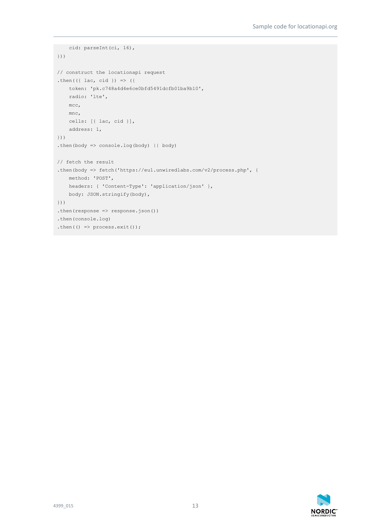```
 cid: parseInt(ci, 16),
}))
// construct the locationapi request
.then(({ lac, cid }) => ({
    token: 'pk.c748a4d4e6ce0bfd5491dcfb01ba9b10',
    radio: 'lte',
    mcc,
    mnc,
    cells: [{ lac, cid }],
    address: 1,
}))
.then(body => console.log(body) || body)
// fetch the result
.then(body => fetch('https://eu1.unwiredlabs.com/v2/process.php', {
    method: 'POST',
    headers: { 'Content-Type': 'application/json' },
    body: JSON.stringify(body),
}))
.then(response \Rightarrow response.json())
.then(console.log)
.then(() => process.exit());
```